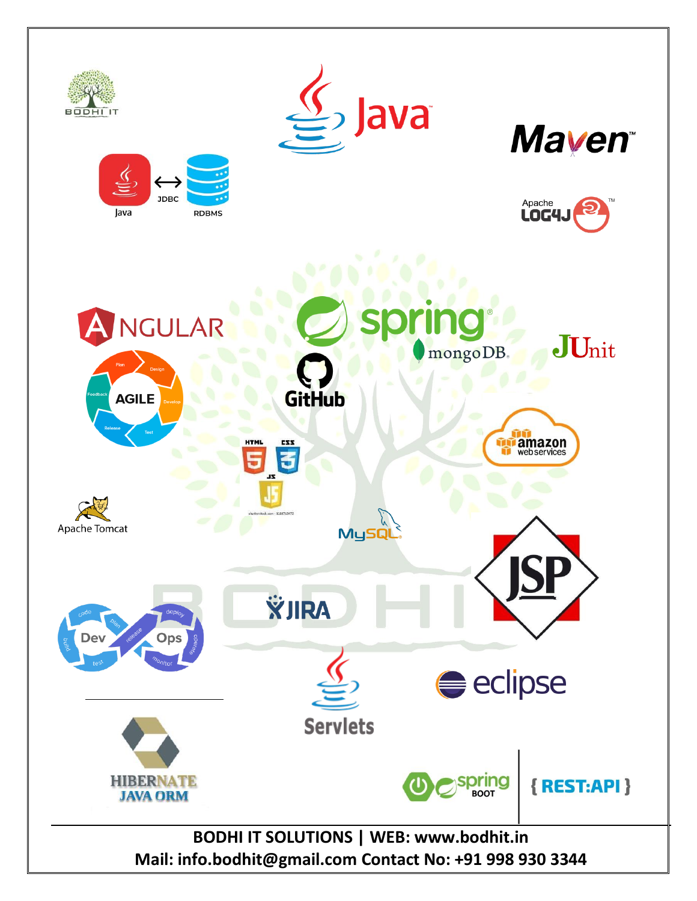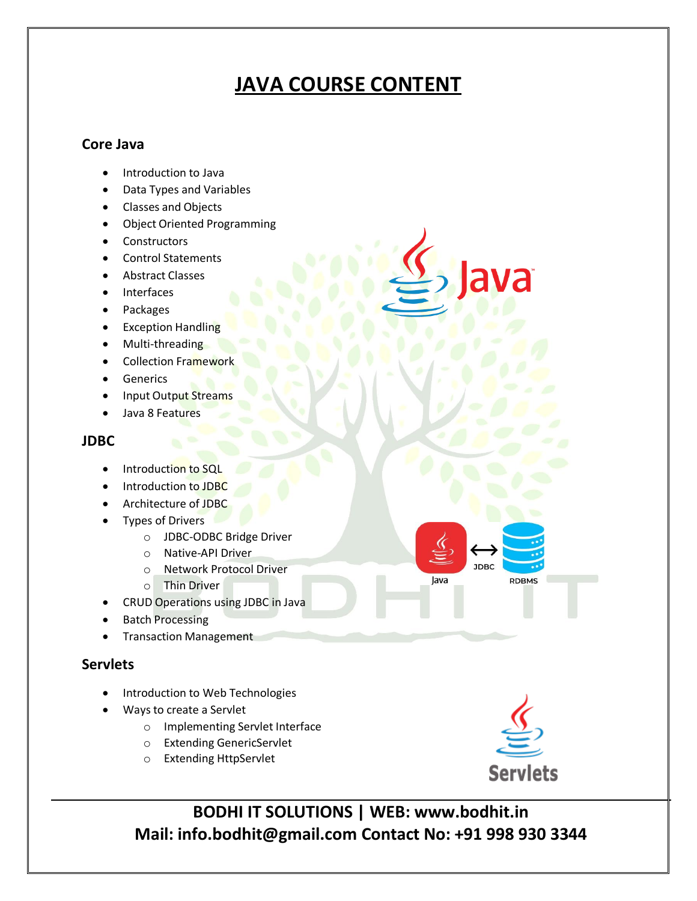# **JAVA COURSE CONTENT**

## **Core Java**

- Introduction to Java
- Data Types and Variables
- Classes and Objects
- Object Oriented Programming
- Constructors
- Control Statements
- Abstract Classes
- Interfaces
- Packages
- Exception Handling
- Multi-threading
- Collection Framework
- **Generics**
- Input Output Streams
- Java 8 Features

#### **JDBC**

- Introduction to SQL
- Introduction to JDBC
- Architecture of JDBC
- Types of Drivers
	- o JDBC-ODBC Bridge Driver
	- o Native-API Driver
	- o Network Protocol Driver
	- o Thin Driver
- CRUD Operations using JDBC in Java
- Batch Processing
- **•** Transaction Management

## **Servlets**

- Introduction to Web Technologies
- Ways to create a Servlet
	- o Implementing Servlet Interface
	- o Extending GenericServlet
	- o Extending HttpServlet



**RDBMS** 

**JDBC** 

Java

**BODHI IT SOLUTIONS | WEB: www.bodhit.in Mail: info.bodhit@gmail.com Contact No: +91 998 930 3344**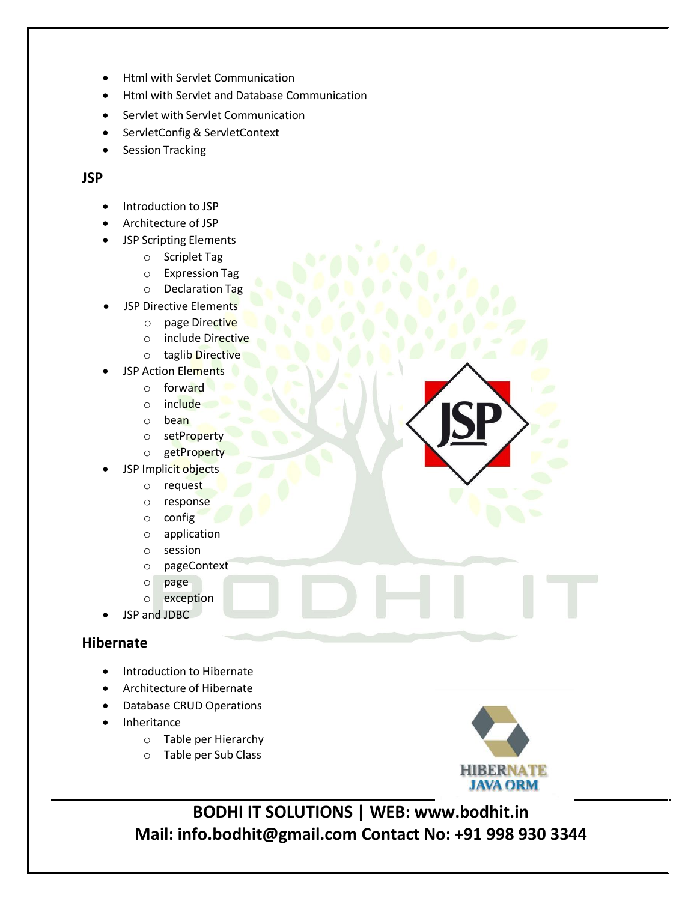- Html with Servlet Communication
- Html with Servlet and Database Communication
- Servlet with Servlet Communication
- ServletConfig & ServletContext
- Session Tracking

### **JSP**

- Introduction to JSP
- Architecture of JSP
- JSP Scripting Elements
	- o Scriplet Tag
	- o Expression Tag
	- o Declaration Tag
- JSP Directive Elements
	- o page Directive
	- o include Directive
	- o taglib Directive
- JSP Action Elements
	- o forward
	- o include
	- o bean
	- o setProperty
	- o getProperty
- JSP Implicit objects
	- o request
	- o response
	- o config
	- o application
	- o session
	- o pageContext
	- o page
	- o exception
- JSP and JDBC

#### **Hibernate**

- Introduction to Hibernate
- Architecture of Hibernate
- Database CRUD Operations
- Inheritance
	- o Table per Hierarchy
	- o Table per Sub Class



**BODHI IT SOLUTIONS | WEB: www.bodhit.in Mail: info.bodhit@gmail.com Contact No: +91 998 930 3344**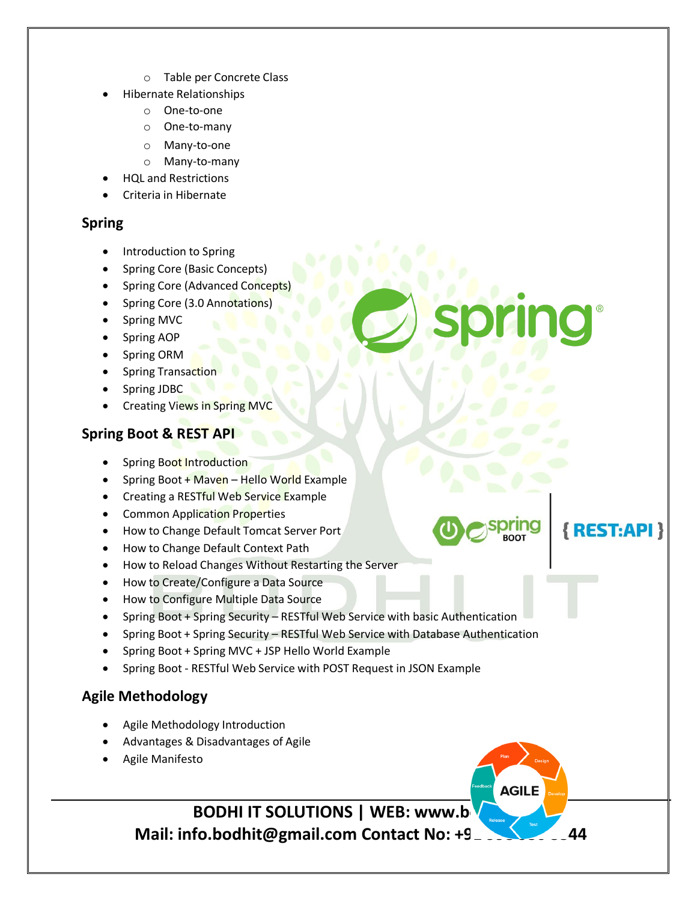- o Table per Concrete Class
- Hibernate Relationships
	- o One-to-one
	- o One-to-many
	- o Many-to-one
	- o Many-to-many
	- HQL and Restrictions
- Criteria in Hibernate

## **Spring**

- Introduction to Spring
- Spring Core (Basic Concepts)
- Spring Core (Advanced Concepts)
- Spring Core (3.0 Annotations)
- Spring MVC
- Spring AOP
- Spring ORM
- Spring Transaction
- Spring JDBC
- Creating Views in Spring MVC

# **Spring Boot & REST API**

- Spring Boot Introduction
- Spring Boot + Maven Hello World Example
- Creating a RESTful Web Service Example
- Common Application Properties
- How to Change Default Tomcat Server Port
- How to Change Default Context Path
- How to Reload Changes Without Restarting the Server
- How to Create/Configure a Data Source
- How to Configure Multiple Data Source
- Spring Boot + Spring Security RESTful Web Service with basic Authentication
- Spring Boot + Spring Security RESTful Web Service with Database Authentication

{REST:API}

**AGILE** 

- Spring Boot + Spring MVC + JSP Hello World Example
- Spring Boot RESTful Web Service with POST Request in JSON Example

# **Agile Methodology**

- Agile Methodology Introduction
- Advantages & Disadvantages of Agile
- Agile Manifesto

**BODHI IT SOLUTIONS | WEB: www.b** 

**Mail: info.bodhit@gmail.com Contact No: +9\_**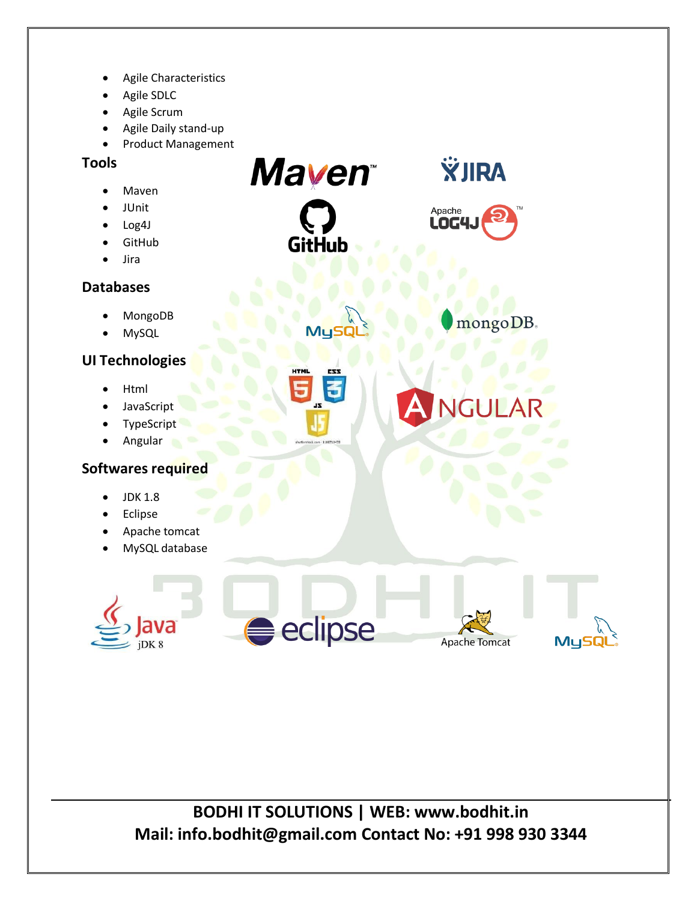- Agile Characteristics
- Agile SDLC
- Agile Scrum
- Agile Daily stand-up
- Product Management

## **Tools**

- Maven
- JUnit
- Log4J
- GitHub
- Jira

## **Databases**

- MongoDB
- MySQL

# **UI Technologies**

- Html
- JavaScript
- TypeScript
- Angular

## **Softwares required**

- JDK 1.8
- Eclipse
- Apache tomcat
- MySQL database





**Mayen** 

**GitHub** 

MySI

**ŸJIRA** 

mongoDB.

**JGULA** 

MySQl

Apache LOG4J

**BODHI IT SOLUTIONS | WEB: www.bodhit.in Mail: info.bodhit@gmail.com Contact No: +91 998 930 3344**